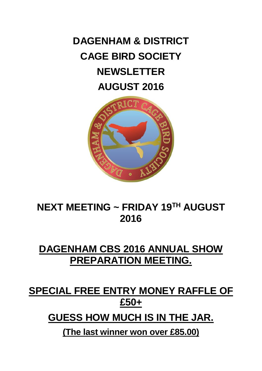# **DAGENHAM & DISTRICT CAGE BIRD SOCIETY NEWSLETTER AUGUST 2016**



# **NEXT MEETING ~ FRIDAY 19 TH AUGUST 2016**

# **DAGENHAM CBS 2016 ANNUAL SHOW PREPARATION MEETING.**

# **SPECIAL FREE ENTRY MONEY RAFFLE OF £50+**

**GUESS HOW MUCH IS IN THE JAR.**

**(The last winner won over £85.00)**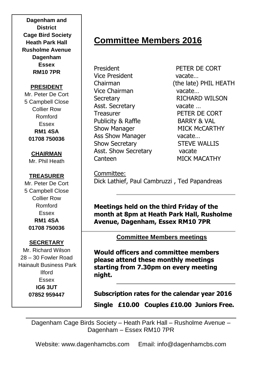**Dagenham and District Cage Bird Society Heath Park Hall Rusholme Avenue Dagenham Essex RM10 7PR**

#### **PRESIDENT**

Mr. Peter De Cort 5 Campbell Close Collier Row Romford Essex **RM1 4SA 01708 750036**

**CHAIRMAN** Mr. Phil Heath

### **TREASURER**

Mr. Peter De Cort 5 Campbell Close Collier Row Romford Essex **RM1 4SA 01708 750036**

### **SECRETARY**

Mr. Richard Wilson 28 – 30 Fowler Road Hainault Business Park Ilford Essex **IG6 3UT 07852 959447**

# **Committee Members 2016**

President PETER DE CORT Vice President vacate… Vice Chairman vacate… Secretary RICHARD WILSON Asst. Secretary vacate … Treasurer **PETER DE CORT** Publicity & Raffle BARRY & VAL Show Manager MICK McCARTHY Ass Show Manager vacate... Show Secretary STEVE WALLIS Asst. Show Secretary vacate Canteen MICK MACATHY

Chairman (the late) PHIL HEATH

Committee: Dick Lathief, Paul Cambruzzi , Ted Papandreas

**Meetings held on the third Friday of the month at 8pm at Heath Park Hall, Rusholme Avenue, Dagenham, Essex RM10 7PR**

**Committee Members meetings**

**Would officers and committee members please attend these monthly meetings starting from 7.30pm on every meeting night.**

**Subscription rates for the calendar year 2016 Single £10.00 Couples £10.00 Juniors Free.**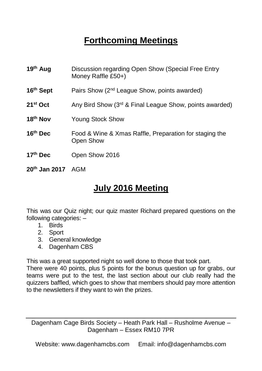# **Forthcoming Meetings**

| 19th Aug                      | Discussion regarding Open Show (Special Free Entry<br>Money Raffle £50+) |
|-------------------------------|--------------------------------------------------------------------------|
| 16 <sup>th</sup> Sept         | Pairs Show (2 <sup>nd</sup> League Show, points awarded)                 |
| $21st$ Oct                    | Any Bird Show (3rd & Final League Show, points awarded)                  |
| 18 <sup>th</sup> Nov          | Young Stock Show                                                         |
| 16th Dec                      | Food & Wine & Xmas Raffle, Preparation for staging the<br>Open Show      |
| 17 <sup>th</sup> Dec          | Open Show 2016                                                           |
| 20 <sup>th</sup> Jan 2017 AGM |                                                                          |

# **July 2016 Meeting**

This was our Quiz night; our quiz master Richard prepared questions on the following categories: –

- 1. Birds
- 2. Sport
- 3. General knowledge
- 4. Dagenham CBS

This was a great supported night so well done to those that took part.

There were 40 points, plus 5 points for the bonus question up for grabs, our teams were put to the test, the last section about our club really had the quizzers baffled, which goes to show that members should pay more attention to the newsletters if they want to win the prizes.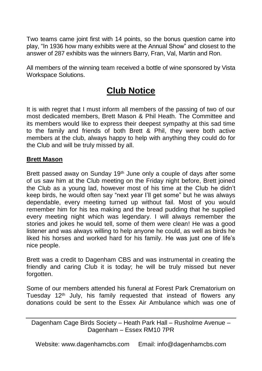Two teams came joint first with 14 points, so the bonus question came into play, "In 1936 how many exhibits were at the Annual Show" and closest to the answer of 287 exhibits was the winners Barry, Fran, Val, Martin and Ron.

All members of the winning team received a bottle of wine sponsored by Vista Workspace Solutions.

## **Club Notice**

It is with regret that I must inform all members of the passing of two of our most dedicated members, Brett Mason & Phil Heath. The Committee and its members would like to express their deepest sympathy at this sad time to the family and friends of both Brett & Phil, they were both active members at the club, always happy to help with anything they could do for the Club and will be truly missed by all.

### **Brett Mason**

Brett passed away on Sunday 19<sup>th</sup> June only a couple of days after some of us saw him at the Club meeting on the Friday night before, Brett joined the Club as a young lad, however most of his time at the Club he didn't keep birds, he would often say "next year I'll get some" but he was always dependable, every meeting turned up without fail. Most of you would remember him for his tea making and the bread pudding that he supplied every meeting night which was legendary. I will always remember the stories and jokes he would tell, some of them were clean! He was a good listener and was always willing to help anyone he could, as well as birds he liked his horses and worked hard for his family. He was just one of life's nice people.

Brett was a credit to Dagenham CBS and was instrumental in creating the friendly and caring Club it is today; he will be truly missed but never forgotten.

Some of our members attended his funeral at Forest Park Crematorium on Tuesday 12<sup>th</sup> July, his family requested that instead of flowers any donations could be sent to the Essex Air Ambulance which was one of

Dagenham Cage Birds Society – Heath Park Hall – Rusholme Avenue – Dagenham – Essex RM10 7PR

Website: www.dagenhamcbs.com Email: info@dagenhamcbs.com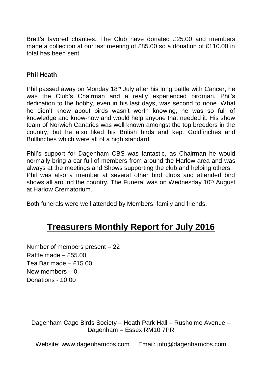Brett's favored charities. The Club have donated £25.00 and members made a collection at our last meeting of £85.00 so a donation of £110.00 in total has been sent.

### **Phil Heath**

Phil passed away on Monday 18<sup>th</sup> July after his long battle with Cancer, he was the Club's Chairman and a really experienced birdman. Phil's dedication to the hobby, even in his last days, was second to none. What he didn't know about birds wasn't worth knowing, he was so full of knowledge and know-how and would help anyone that needed it. His show team of Norwich Canaries was well known amongst the top breeders in the country, but he also liked his British birds and kept Goldfinches and Bullfinches which were all of a high standard.

Phil's support for Dagenham CBS was fantastic, as Chairman he would normally bring a car full of members from around the Harlow area and was always at the meetings and Shows supporting the club and helping others. Phil was also a member at several other bird clubs and attended bird shows all around the country. The Funeral was on Wednesday  $10<sup>th</sup>$  August at Harlow Crematorium.

Both funerals were well attended by Members, family and friends.

## **Treasurers Monthly Report for July 2016**

Number of members present – 22 Raffle made – £55.00 Tea Bar made – £15.00 New members – 0 Donations - £0.00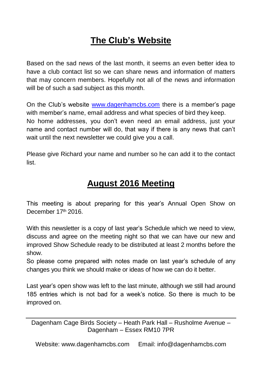# **The Club's Website**

Based on the sad news of the last month, it seems an even better idea to have a club contact list so we can share news and information of matters that may concern members. Hopefully not all of the news and information will be of such a sad subject as this month.

On the Club's website [www.dagenhamcbs.com](http://www.dagenhamcbs.com/) there is a member's page with member's name, email address and what species of bird they keep. No home addresses, you don't even need an email address, just your name and contact number will do, that way if there is any news that can't wait until the next newsletter we could give you a call.

Please give Richard your name and number so he can add it to the contact list.

### **August 2016 Meeting**

This meeting is about preparing for this year's Annual Open Show on December 17th 2016

With this newsletter is a copy of last year's Schedule which we need to view, discuss and agree on the meeting night so that we can have our new and improved Show Schedule ready to be distributed at least 2 months before the show.

So please come prepared with notes made on last year's schedule of any changes you think we should make or ideas of how we can do it better.

Last year's open show was left to the last minute, although we still had around 185 entries which is not bad for a week's notice. So there is much to be improved on.